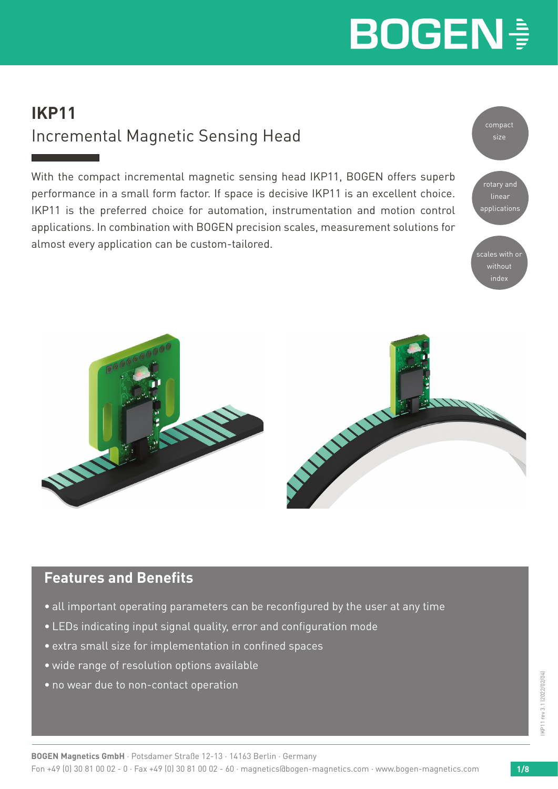### **IKP11**  Incremental Magnetic Sensing Head

With the compact incremental magnetic sensing head IKP11, BOGEN offers superb performance in a small form factor. If space is decisive IKP11 is an excellent choice. IKP11 is the preferred choice for automation, instrumentation and motion control applications. In combination with BOGEN precision scales, measurement solutions for almost every application can be custom-tailored.





### **Features and Benefits**

- all important operating parameters can be reconfigured by the user at any time
- LEDs indicating input signal quality, error and configuration mode
- extra small size for implementation in confined spaces
- wide range of resolution options available
- no wear due to non-contact operation

**BOGEN Magnetics GmbH** · Potsdamer Straße 12-13 · 14163 Berlin · Germany Fon +49 (0) 30 81 00 02 - 0 · Fax +49 (0) 30 81 00 02 - 60 · magnetics@bogen-magnetics.com · www.bogen-magnetics.com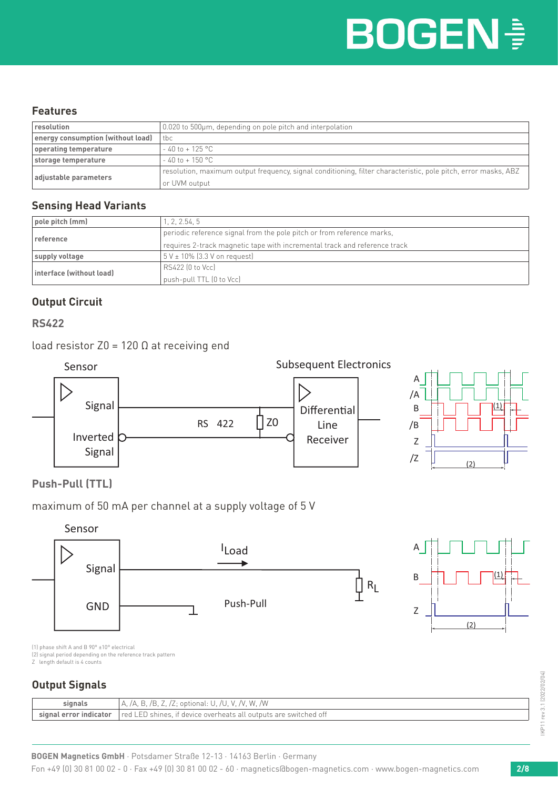#### **Features**

| resolution                        | 0.020 to 500µm, depending on pole pitch and interpolation                                                      |  |  |
|-----------------------------------|----------------------------------------------------------------------------------------------------------------|--|--|
| energy consumption (without load) | tbc                                                                                                            |  |  |
| operating temperature             | $-40$ to + 125 °C                                                                                              |  |  |
| storage temperature               | $-40$ to $+150$ °C                                                                                             |  |  |
|                                   | resolution, maximum output frequency, signal conditioning, filter characteristic, pole pitch, error masks, ABZ |  |  |
| adjustable parameters             | or UVM output                                                                                                  |  |  |

#### **Sensing Head Variants**

| pole pitch (mm)          | 1, 2, 2.54, 5                                                             |  |  |
|--------------------------|---------------------------------------------------------------------------|--|--|
| reference                | periodic reference signal from the pole pitch or from reference marks,    |  |  |
|                          | requires 2-track magnetic tape with incremental track and reference track |  |  |
| supply voltage           | $5V \pm 10\%$ (3.3 V on request)                                          |  |  |
|                          | RS422 (0 to Vcc)                                                          |  |  |
| interface (without load) | push-pull TTL (0 to Vcc)                                                  |  |  |

#### **Output Circuit**

#### **RS422**

load resistor  $Z0 = 120 Ω$  at receiving end





#### **Push-Pull (TTL)**







(1) phase shift A and B 90° ±10° electrical

(2) signal period depending on the reference track pattern Z length default is 4 counts

#### **Output Signals**

| signals                    | /W<br>optional:<br>W<br>W.<br>$\lambda$<br>$\mathcal{L}$<br>$\sim$               |
|----------------------------|----------------------------------------------------------------------------------|
| Lerror indicator<br>sıonal | shines.<br>t device overheats all<br>red<br>switched off<br>outputs<br><b>LI</b> |

KP11 rev 3.1 (2022/02/04) IKP11 rev 3.1 (2022/02/04)

Fon +49 (0) 30 81 00 02 - 0 · Fax +49 (0) 30 81 00 02 - 60 · magnetics@bogen-magnetics.com · www.bogen-magnetics.com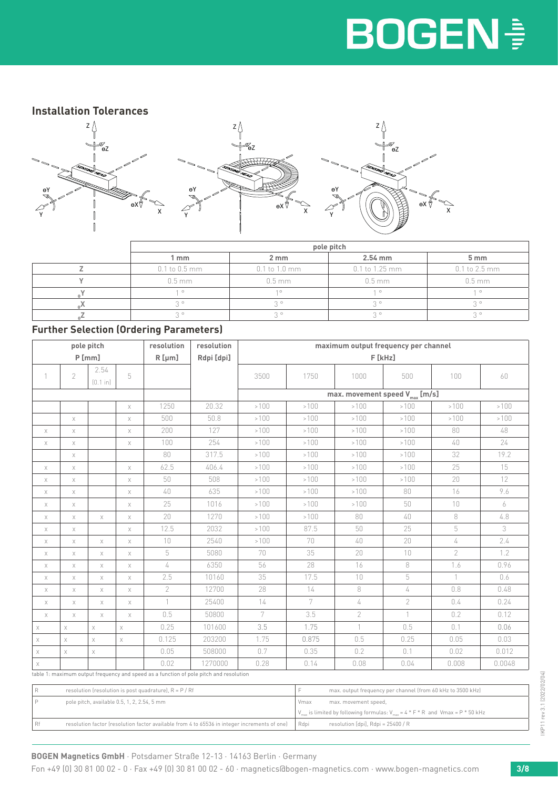#### **Installation Tolerances**



| pole pitch        |               |                  |                 |  |
|-------------------|---------------|------------------|-----------------|--|
| 1 mm              | 2 mm          | $2.54$ mm        | 5 <sub>mm</sub> |  |
| $0.1$ to $0.5$ mm | 0.1 to 1.0 mm | $0.1$ to 1.25 mm | 0.1 to 2.5 mm   |  |
| $0.5$ mm          | $0.5$ mm      | $0.5$ mm         | $0.5$ mm        |  |
| $\circ$           | $1^\circ$     | $\circ$          |                 |  |
| $\circ$           | $\circ$       | $2^{\circ}$      |                 |  |
| $\circ$           | $\circ$       | $\circ$          | $\circ$         |  |

#### **Further Selection (Ordering Parameters)**

| pole pitch  |                                                                                        |                  | resolution  | resolution   | maximum output frequency per channel |        |       |                                     |                            |                |        |
|-------------|----------------------------------------------------------------------------------------|------------------|-------------|--------------|--------------------------------------|--------|-------|-------------------------------------|----------------------------|----------------|--------|
| P[mm]       |                                                                                        |                  |             | $R$ [µm]     | Rdpi [dpi]                           | F[kHz] |       |                                     |                            |                |        |
|             | 2                                                                                      | 2.54<br>[0.1 in] | 5           |              |                                      | 3500   | 1750  | 1000                                | 500                        | 100            | 60     |
|             |                                                                                        |                  |             |              |                                      |        |       | max. movement speed $V_{max}$ [m/s] |                            |                |        |
|             |                                                                                        |                  | $\mathsf X$ | 1250         | 20.32                                | >100   | >100  | >100                                | >100                       | >100           | >100   |
|             | $\chi$                                                                                 |                  | $\mathsf X$ | 500          | 50.8                                 | >100   | >100  | >100                                | >100                       | >100           | >100   |
| $\mathsf X$ | $\mathsf X$                                                                            |                  | $\mathsf X$ | 200          | 127                                  | >100   | >100  | >100                                | >100                       | 80             | 48     |
| X           | $\mathsf X$                                                                            |                  | $\mathsf X$ | 100          | 254                                  | >100   | >100  | >100                                | >100                       | 40             | 24     |
|             | $\mathsf X$                                                                            |                  |             | 80           | 317.5                                | >100   | >100  | >100                                | >100                       | 32             | 19.2   |
| X           | $\chi$                                                                                 |                  | $\mathsf X$ | 62.5         | 406.4                                | >100   | >100  | >100                                | >100                       | 25             | 15     |
| X           | $\mathsf X$                                                                            |                  | $\mathsf X$ | 50           | 508                                  | >100   | >100  | >100                                | >100                       | 20             | 12     |
| X           | X                                                                                      |                  | Χ           | 40           | 635                                  | >100   | >100  | >100                                | 80                         | 16             | 9.6    |
| X           | $\mathsf X$                                                                            |                  | $\mathsf X$ | 25           | 1016                                 | >100   | >100  | >100                                | 50                         | $10\,$         | 6      |
| Χ           | $\chi$                                                                                 | $\mathsf X$      | Χ           | 20           | 1270                                 | >100   | >100  | 80                                  | 40                         | 8              | 4.8    |
| Χ           | $\chi$                                                                                 |                  | Χ           | 12.5         | 2032                                 | >100   | 87.5  | 50                                  | 25                         | 5              | 3      |
| X           | $\mathsf X$                                                                            | $\mathsf X$      | $\mathsf X$ | 10           | 2540                                 | >100   | 70    | 40                                  | 20                         | 4              | 2.4    |
| X           | $\mathsf X$                                                                            | $\mathsf X$      | $\mathsf X$ | 5            | 5080                                 | 70     | 35    | 20                                  | 10                         | $\overline{2}$ | 1.2    |
| X           | X                                                                                      | Χ                | $\mathsf X$ | 4            | 6350                                 | 56     | 28    | 16                                  | 8                          | 1.6            | 0.96   |
| X           | $\mathsf X$                                                                            | $\mathsf X$      | $\mathsf X$ | 2.5          | 10160                                | 35     | 17.5  | 10                                  | $\mathbf 5$                | $\mathbf{1}$   | 0.6    |
| X           | $\mathsf X$                                                                            | Χ                | $\mathsf X$ | 2            | 12700                                | 28     | 14    | 8                                   | 4                          | 0.8            | 0.48   |
| X           | X                                                                                      | Χ                | $\mathsf X$ | $\mathbf{1}$ | 25400                                | 14     | 7     | 4                                   | $\overline{2}$             | 0.4            | 0.24   |
| $\mathsf X$ | $\mathsf X$                                                                            | $\mathsf X$      | $\mathsf X$ | 0.5          | 50800                                | 7      | 3.5   | $\overline{2}$                      | $\left\lceil \right\rceil$ | 0.2            | 0.12   |
| X           | $\mathsf X$                                                                            | $\mathsf X$      | $\mathsf X$ | 0.25         | 101600                               | 3.5    | 1.75  | $\left( \right)$                    | 0.5                        | 0.1            | 0.06   |
| $\times$    | $\mathsf X$                                                                            | $\mathsf X$      | $\mathsf X$ | 0.125        | 203200                               | 1.75   | 0.875 | 0.5                                 | 0.25                       | 0.05           | 0.03   |
| X           | $\mathsf X$                                                                            | $\mathsf X$      |             | 0.05         | 508000                               | 0.7    | 0.35  | 0.2                                 | 0.1                        | 0.02           | 0.012  |
| X           |                                                                                        |                  |             | 0.02         | 1270000                              | 0.28   | 0.14  | 0.08                                | 0.04                       | 0.008          | 0.0048 |
|             | table 1: maximum output frequency and speed as a function of pole pitch and resolution |                  |             |              |                                      |        |       |                                     |                            |                |        |

| resolution (resolution is post quadrature), $R = P / Rf$                                     | max. output frequency per channel (from 60 kHz to 3500 kHz)                                                             |
|----------------------------------------------------------------------------------------------|-------------------------------------------------------------------------------------------------------------------------|
| pole pitch, available 0.5, 1, 2, 2.54, 5 mm                                                  | max. movement speed,<br>Vmax                                                                                            |
|                                                                                              | $\big  V_{\text{max}}$ is limited by following formulas: $V_{\text{max}} = 4 * F * R$ and $V_{\text{max}} = P * 50$ kHz |
| resolution factor (resolution factor available from 4 to 65536 in integer increments of one) | resolution [dpi], $R$ dpi = 25400 / $R$<br>Rdpi                                                                         |

**BOGEN Magnetics GmbH** · Potsdamer Straße 12-13 · 14163 Berlin · Germany

Fon +49 (0) 30 81 00 02 - 0 · Fax +49 (0) 30 81 00 02 - 60 · magnetics@bogen-magnetics.com · www.bogen-magnetics.com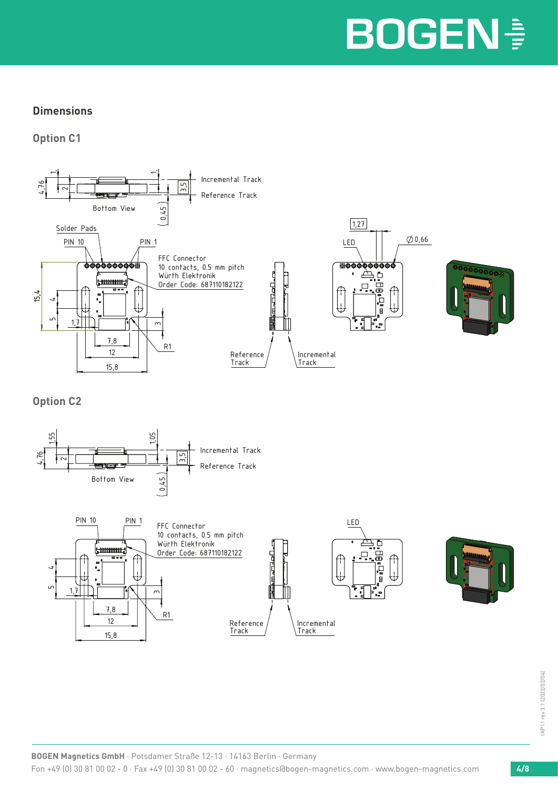#### **Dimensions**

**Option C1**



**Option C2**

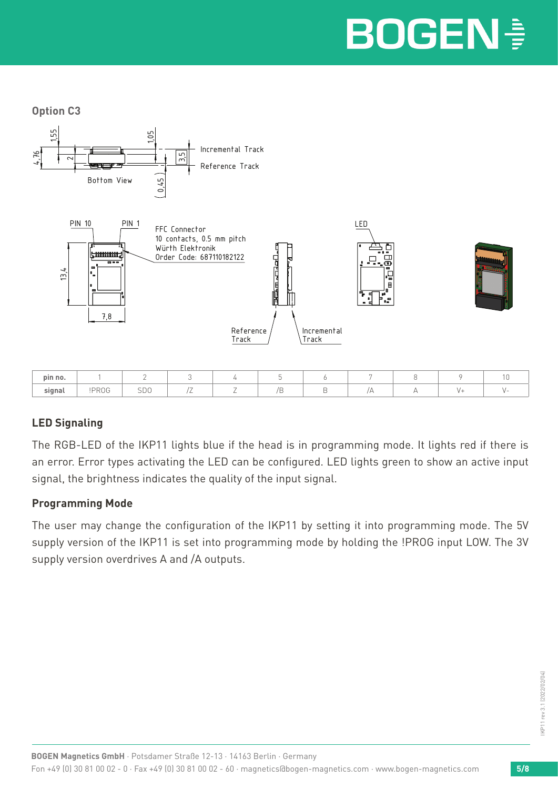**Option C3**



#### **LED Signaling**

The RGB-LED of the IKP11 lights blue if the head is in programming mode. It lights red if there is an error. Error types activating the LED can be configured. LED lights green to show an active input signal, the brightness indicates the quality of the input signal.

**pin no.** | 1 | 2 | 3 | 4 | 5 | 6 | 7 | 8 | 9 | 10 **signal** | !PROG | SDO | /Z | Z | /B | B | /A | A | V+ | V-

#### **Programming Mode**

The user may change the configuration of the IKP11 by setting it into programming mode. The 5V supply version of the IKP11 is set into programming mode by holding the !PROG input LOW. The 3V supply version overdrives A and /A outputs.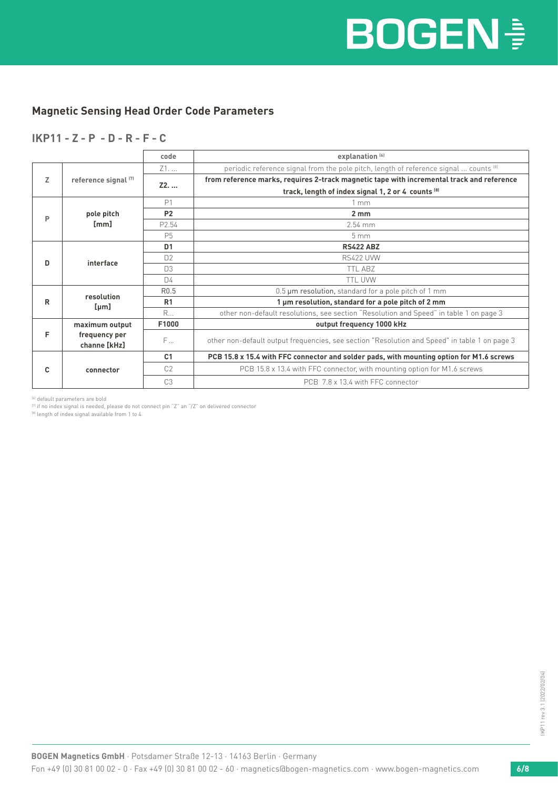#### **Magnetic Sensing Head Order Code Parameters**

#### **IKP11 - Z - P - D - R - F - C**

|   |                               | code             | explanation <sup>[6]</sup>                                                                    |  |  |  |
|---|-------------------------------|------------------|-----------------------------------------------------------------------------------------------|--|--|--|
|   |                               | Z1               | periodic reference signal from the pole pitch, length of reference signal  counts [8]         |  |  |  |
| z | reference signal (7)          | Z2.              | from reference marks, requires 2-track magnetic tape with incremental track and reference     |  |  |  |
|   |                               |                  | track, length of index signal 1, 2 or 4 counts [8]                                            |  |  |  |
|   |                               | P1               | 1mm                                                                                           |  |  |  |
| P | pole pitch                    | <b>P2</b>        | $2 \, \text{mm}$                                                                              |  |  |  |
|   | [mm]                          | P2.54            | $2.54$ mm                                                                                     |  |  |  |
|   |                               | <b>P5</b>        | 5 <sub>mm</sub>                                                                               |  |  |  |
|   | interface                     | D <sub>1</sub>   | <b>RS422 ABZ</b>                                                                              |  |  |  |
| D |                               | D <sup>2</sup>   | <b>RS422 UVW</b>                                                                              |  |  |  |
|   |                               | D3               | <b>TTL ABZ</b>                                                                                |  |  |  |
|   |                               | D <sub>4</sub>   | <b>TTL UVW</b>                                                                                |  |  |  |
|   |                               | R <sub>0.5</sub> | 0.5 um resolution, standard for a pole pitch of 1 mm                                          |  |  |  |
| R | resolution<br>[µm]            | R <sub>1</sub>   | 1 µm resolution, standard for a pole pitch of 2 mm                                            |  |  |  |
|   |                               | R                | other non-default resolutions, see section "Resolution and Speed" in table 1 on page 3        |  |  |  |
|   | maximum output                | F1000            | output frequency 1000 kHz                                                                     |  |  |  |
| F | frequency per<br>channe [kHz] | F                | other non-default output frequencies, see section "Resolution and Speed" in table 1 on page 3 |  |  |  |
|   |                               | C <sub>1</sub>   | PCB 15.8 x 15.4 with FFC connector and solder pads, with mounting option for M1.6 screws      |  |  |  |
| c | connector                     | C <sub>2</sub>   | PCB 15.8 x 13.4 with FFC connector, with mounting option for M1.6 screws                      |  |  |  |
|   |                               | C <sub>3</sub>   | PCB 7.8 x 13.4 with FFC connector                                                             |  |  |  |

(6) default parameters are bold

 $^{(7)}$  if no index signal is needed, please do not connect pin "Z" an "/Z" on delivered connector

<sup>(8)</sup> length of index signal available from 1 to 4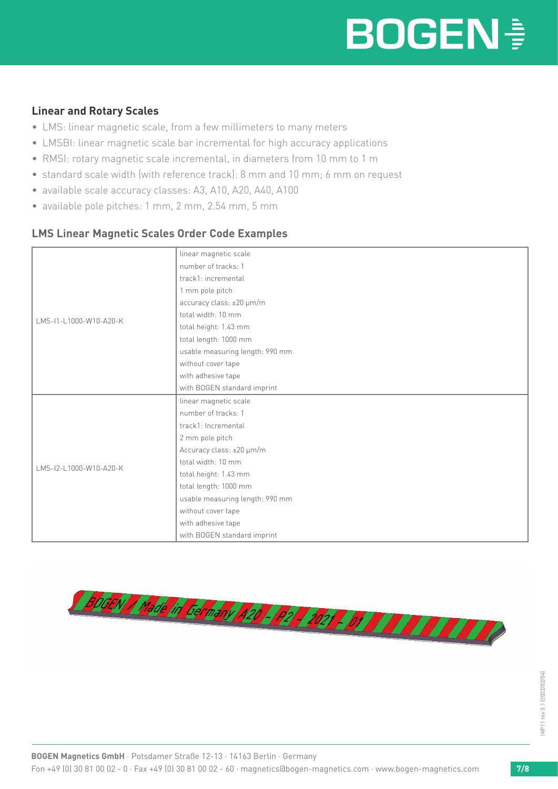#### **Linear and Rotary Scales**

- LMS: linear magnetic scale, from a few millimeters to many meters
- LMSBI: linear magnetic scale bar incremental for high accuracy applications
- RMSI: rotary magnetic scale incremental, in diameters from 10 mm to 1 m
- standard scale width (with reference track): 8 mm and 10 mm; 6 mm on request
- available scale accuracy classes: A3, A10, A20, A40, A100
- available pole pitches: 1 mm, 2 mm, 2.54 mm, 5 mm

#### **LMS Linear Magnetic Scales Order Code Examples**

|                        | linear magnetic scale           |  |  |  |  |
|------------------------|---------------------------------|--|--|--|--|
|                        | number of tracks: 1             |  |  |  |  |
|                        | track1: incremental             |  |  |  |  |
|                        | 1 mm pole pitch                 |  |  |  |  |
|                        | accuracy class: ±20 µm/m        |  |  |  |  |
| LMS-I1-L1000-W10-A20-K | total width: 10 mm              |  |  |  |  |
|                        | total height: 1.43 mm           |  |  |  |  |
|                        | total length: 1000 mm           |  |  |  |  |
|                        | usable measuring length: 990 mm |  |  |  |  |
|                        | without cover tape              |  |  |  |  |
|                        | with adhesive tape              |  |  |  |  |
|                        | with BOGEN standard imprint     |  |  |  |  |
|                        | linear magnetic scale           |  |  |  |  |
|                        | number of tracks: 1             |  |  |  |  |
|                        | track1: Incremental             |  |  |  |  |
|                        | 2 mm pole pitch                 |  |  |  |  |
|                        | Accuracy class: ±20 µm/m        |  |  |  |  |
| LMS-12-L1000-W10-A20-K | total width: 10 mm              |  |  |  |  |
|                        | total height: 1.43 mm           |  |  |  |  |
|                        | total length: 1000 mm           |  |  |  |  |
|                        | usable measuring length: 990 mm |  |  |  |  |
|                        | without cover tape              |  |  |  |  |
|                        | with adhesive tape              |  |  |  |  |
|                        | with BOGEN standard imprint     |  |  |  |  |
|                        |                                 |  |  |  |  |